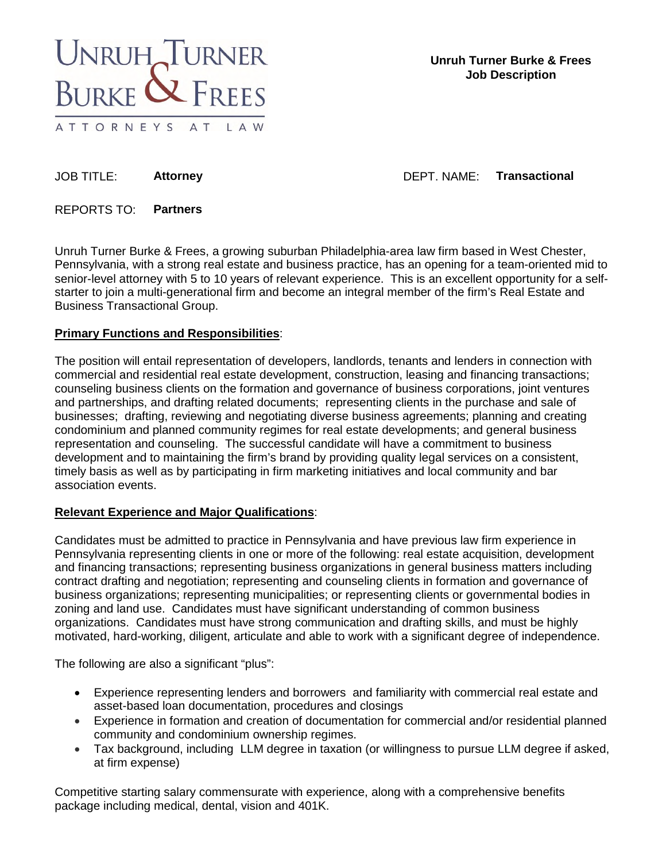

JOB TITLE: **Attorney Communist Actional Actional Actional Actional Actional Actional Actional Actional Actional Actional Actional Actional Actional Actional Actional Actional Actional Actional Actional Actional Actional Ac** 

REPORTS TO: **Partners** 

Unruh Turner Burke & Frees, a growing suburban Philadelphia-area law firm based in West Chester, Pennsylvania, with a strong real estate and business practice, has an opening for a team-oriented mid to senior-level attorney with 5 to 10 years of relevant experience. This is an excellent opportunity for a selfstarter to join a multi-generational firm and become an integral member of the firm's Real Estate and Business Transactional Group.

## **Primary Functions and Responsibilities**:

The position will entail representation of developers, landlords, tenants and lenders in connection with commercial and residential real estate development, construction, leasing and financing transactions; counseling business clients on the formation and governance of business corporations, joint ventures and partnerships, and drafting related documents; representing clients in the purchase and sale of businesses; drafting, reviewing and negotiating diverse business agreements; planning and creating condominium and planned community regimes for real estate developments; and general business representation and counseling. The successful candidate will have a commitment to business development and to maintaining the firm's brand by providing quality legal services on a consistent, timely basis as well as by participating in firm marketing initiatives and local community and bar association events.

## **Relevant Experience and Major Qualifications**:

Candidates must be admitted to practice in Pennsylvania and have previous law firm experience in Pennsylvania representing clients in one or more of the following: real estate acquisition, development and financing transactions; representing business organizations in general business matters including contract drafting and negotiation; representing and counseling clients in formation and governance of business organizations; representing municipalities; or representing clients or governmental bodies in zoning and land use. Candidates must have significant understanding of common business organizations. Candidates must have strong communication and drafting skills, and must be highly motivated, hard-working, diligent, articulate and able to work with a significant degree of independence.

The following are also a significant "plus":

- Experience representing lenders and borrowers and familiarity with commercial real estate and asset-based loan documentation, procedures and closings
- Experience in formation and creation of documentation for commercial and/or residential planned community and condominium ownership regimes.
- Tax background, including LLM degree in taxation (or willingness to pursue LLM degree if asked, at firm expense)

Competitive starting salary commensurate with experience, along with a comprehensive benefits package including medical, dental, vision and 401K.